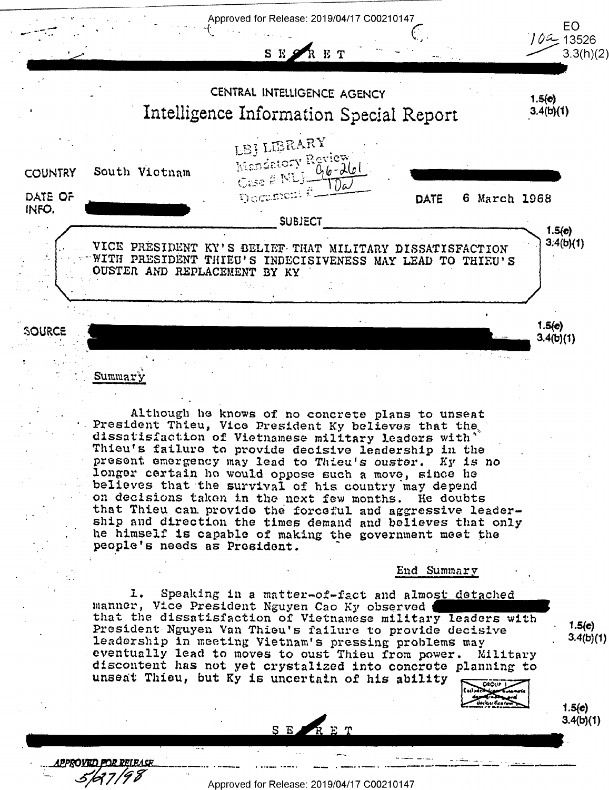

Although he knows of no concrete plans to unseat President Thieu, Vice President Ky believes that the dissatisfaction of Vietnamese military leaders with Thieu's failure to provide decisive leadership in the present emergency may lead to Thieu's ouster. Ky is no longer certain he would oppose such a move, since he believes that the survival of his country may depend on decisions taken in the next few months. He doubts that Thieu can provide the forceful and aggressive leadership and direction the times demand and believes that only he himself is capable of making the government meet the people's needs as President.

End Summary

Speaking in a matter-of-fact and almost detached l. manner, Vice President Nguyen Cao Ky observed that the dissatisfaction of Vietnamese military leaders with President Nguyen Van Thieu's failure to provide decisive leadership in meeting Vietnam's pressing problems may eventually lead to moves to oust Thieu from power. Military discontent has not yet crystalized into concrete planning to unseat Thieu, but Ky is uncertain of his ability **DEOUP 1** 

 $1.5(e)$ 

 $3.4(b)(1)$ 

 $1.5(e)$ 

 $3.4(b)(1)$ 

PPROVED FOR **PRI RACE** 

Approved for Release: 2019/04/17 C00210147

SERET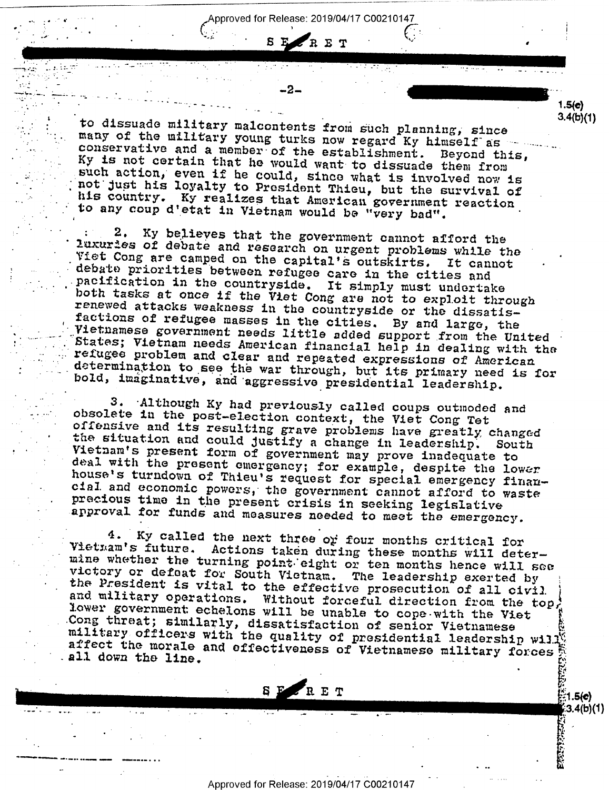. pproved for Release: 2019/O4/17 C00210147

 $\frac{1.5(e)}{1 - e^{-e^{-\frac{e^{2}}{1 - e^{-2}}}}}$ 

 $\overline{\phantom{a}}$ 

 $E$ 

 $\sigma$  , and the set of the set of the set of the set of the set of the set of the set of the set of the set of the set of the set of the set of the set of the set of the set of the set of the set of the set of the set of t

R E R E T WARD A R E T

 $\frac{1}{2}$ ; III.a $\frac{1}{2}$  ,  $\frac{1}{2}$  ,  $\frac{1}{2}$  ,  $\frac{1}{2}$  ,  $\frac{1}{2}$  ,  $\frac{1}{2}$  ,  $\frac{1}{2}$  ,  $\frac{1}{2}$  ,  $\frac{1}{2}$  ,  $\frac{1}{2}$  ,  $\frac{1}{2}$  ,  $\frac{1}{2}$  ,  $\frac{1}{2}$  ,  $\frac{1}{2}$  ,  $\frac{1}{2}$  ,  $\frac{1}{2}$  ,  $\frac{1}{2}$  ,

.

 $\rightarrow$ 1.42 .- $\rightarrow$  11- $\pm$  11- $\pm$  11- $\pm$  11- $\pm$ 

:122 | L. L. H

٠

---------- ...

such action, even if he could, since what is involved now is not just his loyalty to President Thieu, but the survival of to dissuade military malcontents from such planning, since<br>many of the military young turks now regard Ky himself as conservative and a member of the establishment. Beyond this,<br>Ky is not certain that he would want to diss his country. Ky realizes that American government reaction to any coup d'etat in Vietnam would be "very bad".

: 2. Ky believes that the government cannot afford the<br>luxuries of debate and research on urgent problems while the<br>Fiet Cong are camped on the capital's outskirts. It cannot<br>debate priorities between refugee care in the c Vietnamese government needs little added support from the United<br>States; Vietnam needs American financial help in dealing with the refugee problem and clear and repeated expressions of American<br>determination to see the war through, but its primary need is for<br>bold, imaginative, and aggressive presidential leadership.

3. Although Ky had previously called coups outmoded and<br>obsolete in the post-election context, the Viet Cong Tet<br>offensive and its resulting grave problems have greatly changed<br>the situation and could justify a change in l

4. Ky called the next three or four months critical for<br>Vietnam's future. Actions taken during these months will deter-<br>mine whether the turning point eight or ten months hence will see<br>victory or defeat for South Vietnam military officers with the quality of presidential leadership will<br>affect the morale and effectiveness of Vietnamese military forces

 $R$   $R$   $R$   $T$   $(5e)$ 

 $\frac{1}{2}$  3.4(b)(1)

1'

3 P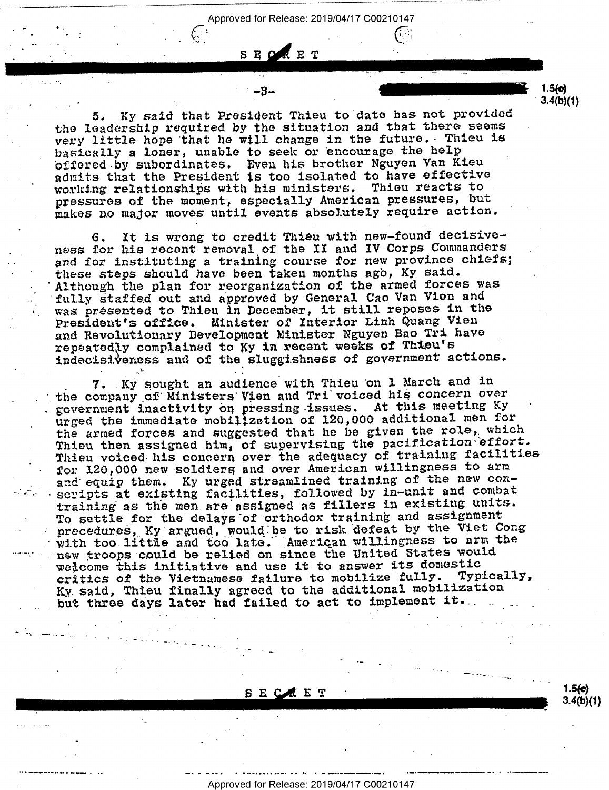. Approved for Release: 2019/04/17 C00210147

<sup>o</sup>-3- 1-54¢)

 $3.4(b)(1)$ 

\_

 $3.4(b)(1)$ 

5. Ky said that President Thieu to date has not provided the leadership required by the situation and that there seems very little hope that he will change in the future. Thieu is basically a loner, unable to seek or encourage the help offered-by subordinates. Even his brother Nguyen Van Kieu admits that the President is too isolated to have effective working relationships with his ministers. Thieu reacts to pressures of the moment, especially American pressures, but makes no major moves until events absolutely require action.

SEORET

 $\frac{S}{\sqrt{S}}$  if  $\frac{G}{\sqrt{S}}$ 

 $\mathcal{L}^{\mathbf{S}_n}$  . The set of the set of the set of the set of the set of the set of the set of the set of the set of the set of the set of the set of the set of the set of the set of the set of the set of the set of the

, . -

6. It is wrong to credit Thieu with new-found decisive ness for his recent removal of the II and IV Corps Commanders and for instituting a training course for new province chiefs; these steps should have been taken months ago, Ky said. Although the plan for reorganization of the armed forces was fully staffed out and approved by General Cao Van Vion and was presented to Thieu in December, it still reposes in the President's office. Minister of Interior Linh Quang Vien and Revolutionary Development Minister Nguyen Bao Tri have repeatedly complained to Ky in recent weeks of Thieu's ' indecisiteness and of the sluggishness of government actions.

7. Ky sought an audience with Thieu on 1 March and in the company of Ministers Vien and Tri voiced his concern over government inactivity on pressing-issues. At this meeting Ky urged the immediate mobilization or 120,000 additional men for the armed forces and suggested that he be given the role, which Thieu then assigned him, of supervising the pacification effort. Thieu voiced his concern over the adequacy of training facilities for 120,000 new soldiers and over American willingness to arm and equip them. Ky urged streamlined training of the new conscripts at existing facilities, followed by in-unit and combat training as the men\_are assigned as fillers in existing units. To settle for the delays of orthodox training and assignment precedures, Ky argued, would be to risk defeat by the Viet Cong<br>with too little and too late. American willingness to arm the new troops could be relied on since the United States would welcome this initiative and use it to answer its domestic critics of the Vietnamese failure to mobilize fully. Typically, Ky said, Thieu finally agreed to the additional mobilization but three days later had failed to act to implement it.

 $\sum_{i=1}^{n}$  ET  $\sum_{i=1}^{n}$  ET  $\sum_{i=1}^{n}$  ET  $\sum_{i=1}^{n}$  ET  $\sum_{i=1}^{n}$  ET  $\sum_{i=1}^{n}$  ET  $\sum_{i=1}^{n}$  ET  $\sum_{i=1}^{n}$  ET  $\sum_{i=1}^{n}$  ET  $\sum_{i=1}^{n}$  ET  $\sum_{i=1}^{n}$  ET  $\sum_{i=1}^{n}$  ET  $\sum_{i=1}^{n}$  ET  $\sum_{i=1}^{n}$ 

. The contract of the contract of the contract of the contract of the contract of the contract of the contract of the contract of the contract of the contract of the contract of the contract of the contract of the contrac